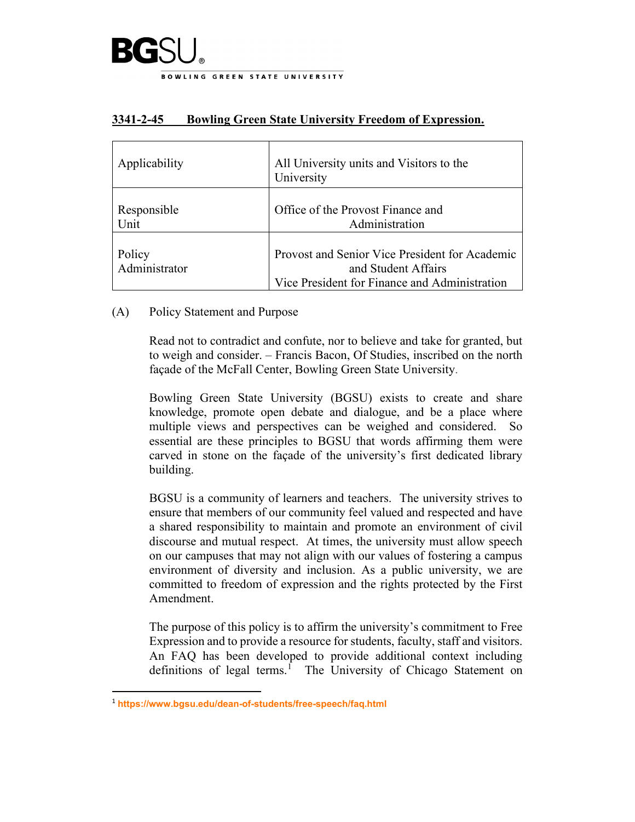

| Applicability           | All University units and Visitors to the<br>University                                                                 |
|-------------------------|------------------------------------------------------------------------------------------------------------------------|
| Responsible<br>Unit     | Office of the Provost Finance and<br>Administration                                                                    |
| Policy<br>Administrator | Provost and Senior Vice President for Academic<br>and Student Affairs<br>Vice President for Finance and Administration |

## **3341-2-45 Bowling Green State University Freedom of Expression.**

## (A) Policy Statement and Purpose

Read not to contradict and confute, nor to believe and take for granted, but to weigh and consider. – Francis Bacon, Of Studies, inscribed on the north façade of the McFall Center, Bowling Green State University.

Bowling Green State University (BGSU) exists to create and share knowledge, promote open debate and dialogue, and be a place where multiple views and perspectives can be weighed and considered. So essential are these principles to BGSU that words affirming them were carved in stone on the façade of the university's first dedicated library building.

BGSU is a community of learners and teachers. The university strives to ensure that members of our community feel valued and respected and have a shared responsibility to maintain and promote an environment of civil discourse and mutual respect. At times, the university must allow speech on our campuses that may not align with our values of fostering a campus environment of diversity and inclusion. As a public university, we are committed to freedom of expression and the rights protected by the First Amendment.

The purpose of this policy is to affirm the university's commitment to Free Expression and to provide a resource for students, faculty, staff and visitors. An FAQ has been developed to provide additional context including definitions of legal terms.<sup>[1](#page-0-0)</sup> The University of Chicago Statement on

<span id="page-0-0"></span><sup>1</sup> **<https://www.bgsu.edu/dean-of-students/free-speech/faq.html>**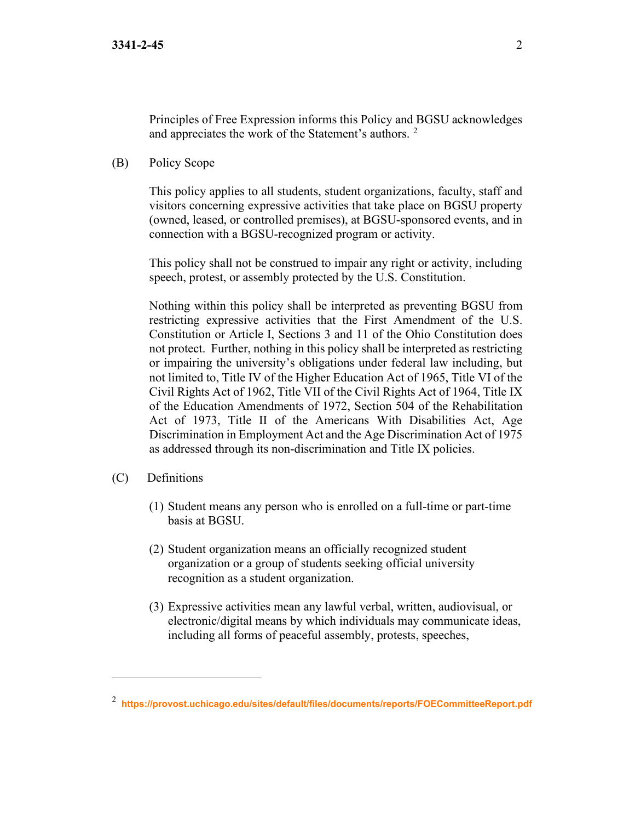Principles of Free Expression informs this Policy and BGSU acknowledges and appreciates the work of the Statement's authors. [2](#page-1-0)

(B) Policy Scope

This policy applies to all students, student organizations, faculty, staff and visitors concerning expressive activities that take place on BGSU property (owned, leased, or controlled premises), at BGSU-sponsored events, and in connection with a BGSU-recognized program or activity.

This policy shall not be construed to impair any right or activity, including speech, protest, or assembly protected by the U.S. Constitution.

Nothing within this policy shall be interpreted as preventing BGSU from restricting expressive activities that the First Amendment of the U.S. Constitution or Article I, Sections 3 and 11 of the Ohio Constitution does not protect. Further, nothing in this policy shall be interpreted as restricting or impairing the university's obligations under federal law including, but not limited to, Title IV of the Higher Education Act of 1965, Title VI of the Civil Rights Act of 1962, Title VII of the Civil Rights Act of 1964, Title IX of the Education Amendments of 1972, Section 504 of the Rehabilitation Act of 1973, Title II of the Americans With Disabilities Act, Age Discrimination in Employment Act and the Age Discrimination Act of 1975 as addressed through its non-discrimination and Title IX policies.

- (C) Definitions
	- (1) Student means any person who is enrolled on a full-time or part-time basis at BGSU.
	- (2) Student organization means an officially recognized student organization or a group of students seeking official university recognition as a student organization.
	- (3) Expressive activities mean any lawful verbal, written, audiovisual, or electronic/digital means by which individuals may communicate ideas, including all forms of peaceful assembly, protests, speeches,

<span id="page-1-0"></span><sup>2</sup> **<https://provost.uchicago.edu/sites/default/files/documents/reports/FOECommitteeReport.pdf>**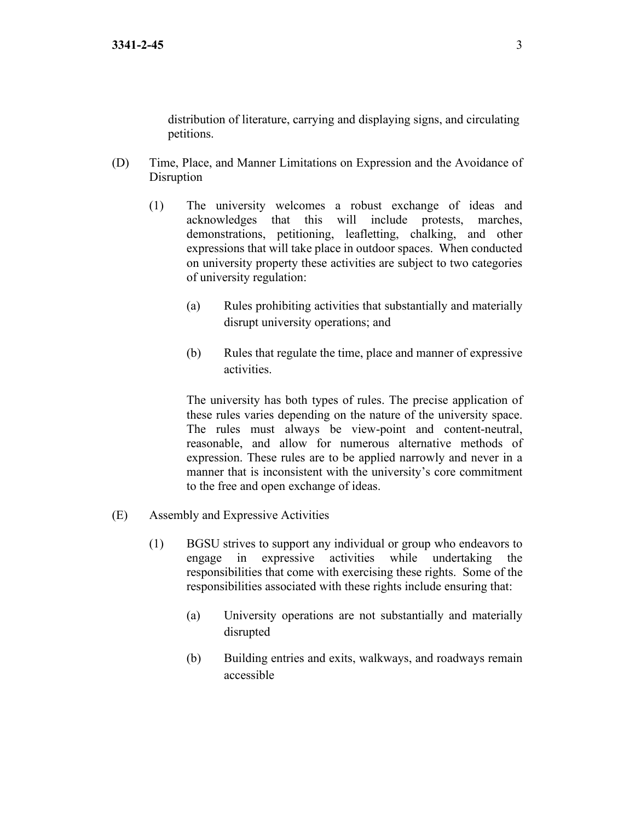distribution of literature, carrying and displaying signs, and circulating petitions.

- (D) Time, Place, and Manner Limitations on Expression and the Avoidance of Disruption
	- (1) The university welcomes a robust exchange of ideas and acknowledges that this will include protests, marches, demonstrations, petitioning, leafletting, chalking, and other expressions that will take place in outdoor spaces. When conducted on university property these activities are subject to two categories of university regulation:
		- (a) Rules prohibiting activities that substantially and materially disrupt university operations; and
		- (b) Rules that regulate the time, place and manner of expressive activities.

The university has both types of rules. The precise application of these rules varies depending on the nature of the university space. The rules must always be view-point and content-neutral, reasonable, and allow for numerous alternative methods of expression. These rules are to be applied narrowly and never in a manner that is inconsistent with the university's core commitment to the free and open exchange of ideas.

- (E) Assembly and Expressive Activities
	- (1) BGSU strives to support any individual or group who endeavors to engage in expressive activities while undertaking the responsibilities that come with exercising these rights. Some of the responsibilities associated with these rights include ensuring that:
		- (a) University operations are not substantially and materially disrupted
		- (b) Building entries and exits, walkways, and roadways remain accessible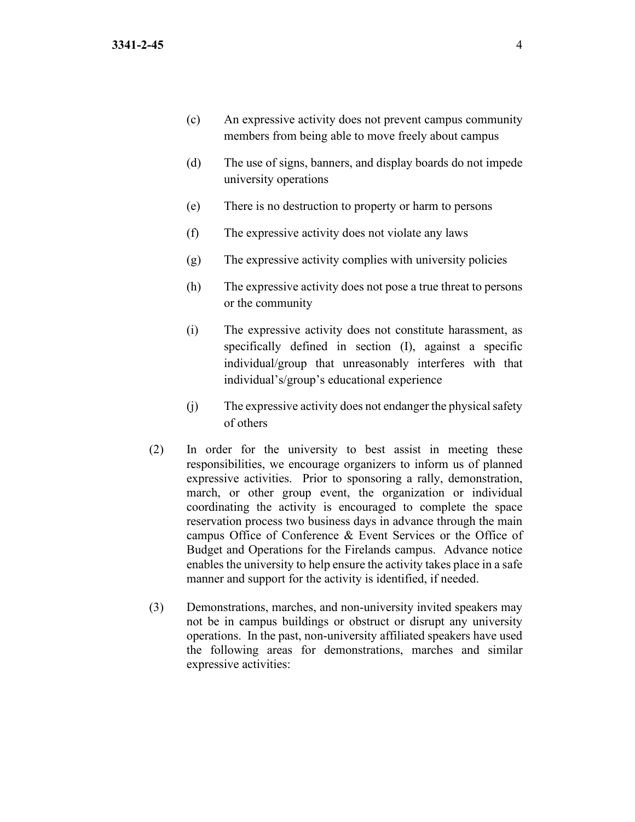- (c) An expressive activity does not prevent campus community members from being able to move freely about campus
- (d) The use of signs, banners, and display boards do not impede university operations
- (e) There is no destruction to property or harm to persons
- (f) The expressive activity does not violate any laws
- (g) The expressive activity complies with university policies
- (h) The expressive activity does not pose a true threat to persons or the community
- (i) The expressive activity does not constitute harassment, as specifically defined in section (I), against a specific individual/group that unreasonably interferes with that individual's/group's educational experience
- (j) The expressive activity does not endanger the physical safety of others
- (2) In order for the university to best assist in meeting these responsibilities, we encourage organizers to inform us of planned expressive activities. Prior to sponsoring a rally, demonstration, march, or other group event, the organization or individual coordinating the activity is encouraged to complete the space reservation process two business days in advance through the main campus Office of Conference & Event Services or the Office of Budget and Operations for the Firelands campus. Advance notice enables the university to help ensure the activity takes place in a safe manner and support for the activity is identified, if needed.
- (3) Demonstrations, marches, and non-university invited speakers may not be in campus buildings or obstruct or disrupt any university operations. In the past, non-university affiliated speakers have used the following areas for demonstrations, marches and similar expressive activities: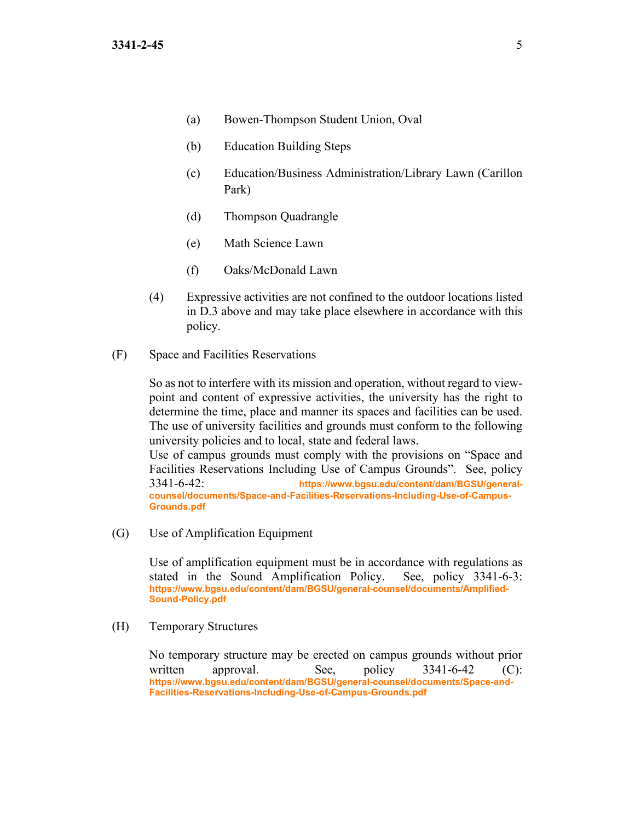- (a) Bowen-Thompson Student Union, Oval
- (b) Education Building Steps
- (c) Education/Business Administration/Library Lawn (Carillon Park)
- (d) Thompson Quadrangle
- (e) Math Science Lawn
- (f) Oaks/McDonald Lawn
- (4) Expressive activities are not confined to the outdoor locations listed in D.3 above and may take place elsewhere in accordance with this policy.
- (F) Space and Facilities Reservations

So as not to interfere with its mission and operation, without regard to viewpoint and content of expressive activities, the university has the right to determine the time, place and manner its spaces and facilities can be used. The use of university facilities and grounds must conform to the following university policies and to local, state and federal laws.

Use of campus grounds must comply with the provisions on "Space and Facilities Reservations Including Use of Campus Grounds". See, policy 3341-6-42: **[https://www.bgsu.edu/content/dam/BGSU/general](https://www.bgsu.edu/content/dam/BGSU/general-counsel/documents/Space-and-Facilities-Reservations-Including-Use-of-Campus-Grounds.pdf)[counsel/documents/Space-and-Facilities-Reservations-Including-Use-of-Campus-](https://www.bgsu.edu/content/dam/BGSU/general-counsel/documents/Space-and-Facilities-Reservations-Including-Use-of-Campus-Grounds.pdf)[Grounds.pdf](https://www.bgsu.edu/content/dam/BGSU/general-counsel/documents/Space-and-Facilities-Reservations-Including-Use-of-Campus-Grounds.pdf)**

(G) Use of Amplification Equipment

Use of amplification equipment must be in accordance with regulations as stated in the Sound Amplification Policy. See, policy 3341-6-3: **[https://www.bgsu.edu/content/dam/BGSU/general-counsel/documents/Amplified-](https://www.bgsu.edu/content/dam/BGSU/general-counsel/documents/Amplified-Sound-Policy.pdf)[Sound-Policy.pdf](https://www.bgsu.edu/content/dam/BGSU/general-counsel/documents/Amplified-Sound-Policy.pdf)**

(H) Temporary Structures

No temporary structure may be erected on campus grounds without prior written approval. See, policy 3341-6-42 (C): **[https://www.bgsu.edu/content/dam/BGSU/general-counsel/documents/Space-and-](https://www.bgsu.edu/content/dam/BGSU/general-counsel/documents/Space-and-Facilities-Reservations-Including-Use-of-Campus-Grounds.pdf)[Facilities-Reservations-Including-Use-of-Campus-Grounds.pdf](https://www.bgsu.edu/content/dam/BGSU/general-counsel/documents/Space-and-Facilities-Reservations-Including-Use-of-Campus-Grounds.pdf)**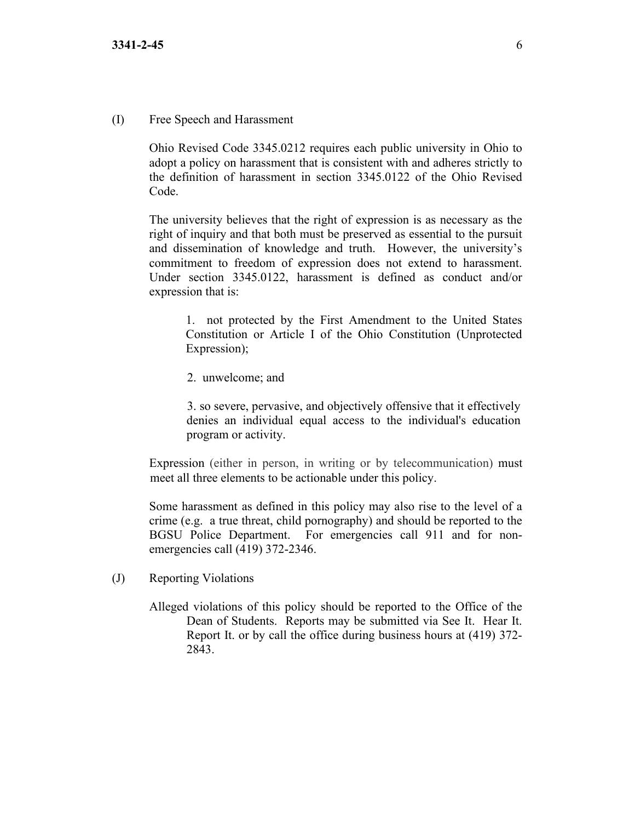## (I) Free Speech and Harassment

Ohio Revised Code 3345.0212 requires each public university in Ohio to adopt a policy on harassment that is consistent with and adheres strictly to the definition of harassment in section 3345.0122 of the Ohio Revised Code.

The university believes that the right of expression is as necessary as the right of inquiry and that both must be preserved as essential to the pursuit and dissemination of knowledge and truth. However, the university's commitment to freedom of expression does not extend to harassment. Under section 3345.0122, harassment is defined as conduct and/or expression that is:

1. not protected by the First Amendment to the United States Constitution or Article I of the Ohio Constitution (Unprotected Expression);

2. unwelcome; and

3. so severe, pervasive, and objectively offensive that it effectively denies an individual equal access to the individual's education program or activity.

Expression (either in person, in writing or by telecommunication) must meet all three elements to be actionable under this policy.

Some harassment as defined in this policy may also rise to the level of a crime (e.g. a true threat, child pornography) and should be reported to the BGSU Police Department. For emergencies call 911 and for nonemergencies call (419) 372-2346.

- (J) Reporting Violations
	- Alleged violations of this policy should be reported to the Office of the Dean of Students. Reports may be submitted via See It. Hear It. Report It. or by call the office during business hours at (419) 372- 2843.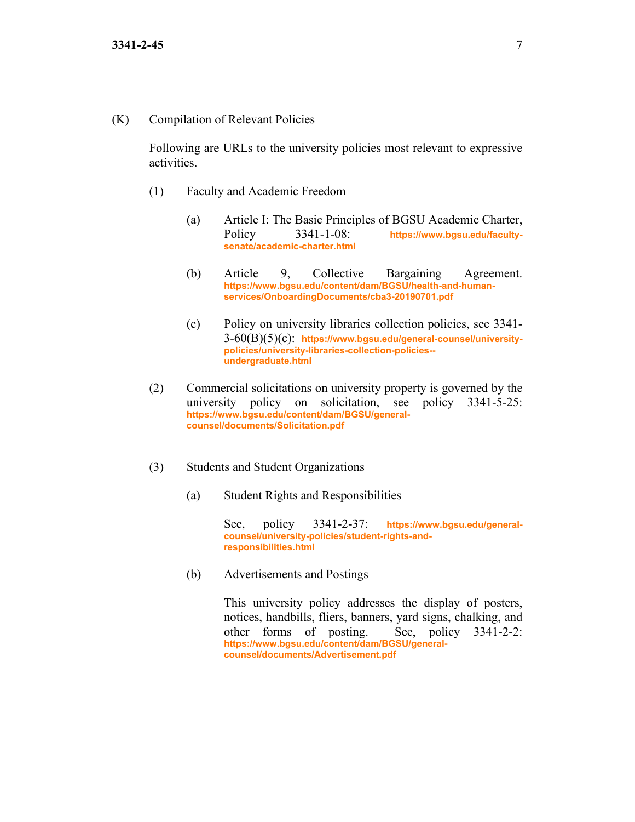(K) Compilation of Relevant Policies

Following are URLs to the university policies most relevant to expressive activities.

- (1) Faculty and Academic Freedom
	- (a) Article I: The Basic Principles of BGSU Academic Charter, Policy 3341-1-08: **[https://www.bgsu.edu/faculty](https://www.bgsu.edu/faculty-senate/academic-charter.html)[senate/academic-charter.html](https://www.bgsu.edu/faculty-senate/academic-charter.html)**
	- (b) Article 9, Collective Bargaining Agreement. **[https://www.bgsu.edu/content/dam/BGSU/health-and-human](https://www.bgsu.edu/content/dam/BGSU/health-and-human-services/OnboardingDocuments/cba3-20190701.pdf)[services/OnboardingDocuments/cba3-20190701.pdf](https://www.bgsu.edu/content/dam/BGSU/health-and-human-services/OnboardingDocuments/cba3-20190701.pdf)**
	- (c) Policy on university libraries collection policies, see 3341- 3-60(B)(5)(c): **[https://www.bgsu.edu/general-counsel/university](https://www.bgsu.edu/general-counsel/university-policies/university-libraries-collection-policies--undergraduate.html)[policies/university-libraries-collection-policies-](https://www.bgsu.edu/general-counsel/university-policies/university-libraries-collection-policies--undergraduate.html) [undergraduate.html](https://www.bgsu.edu/general-counsel/university-policies/university-libraries-collection-policies--undergraduate.html)**
- (2) Commercial solicitations on university property is governed by the university policy on solicitation, see policy 3341-5-25: **[https://www.bgsu.edu/content/dam/BGSU/general](https://www.bgsu.edu/content/dam/BGSU/general-counsel/documents/Solicitation.pdf)[counsel/documents/Solicitation.pdf](https://www.bgsu.edu/content/dam/BGSU/general-counsel/documents/Solicitation.pdf)**
- (3) Students and Student Organizations
	- (a) Student Rights and Responsibilities

See, policy 3341-2-37: **[https://www.bgsu.edu/general](https://www.bgsu.edu/general-counsel/university-policies/student-rights-and-responsibilities.html)[counsel/university-policies/student-rights-and](https://www.bgsu.edu/general-counsel/university-policies/student-rights-and-responsibilities.html)[responsibilities.html](https://www.bgsu.edu/general-counsel/university-policies/student-rights-and-responsibilities.html)**

(b) Advertisements and Postings

This university policy addresses the display of posters, notices, handbills, fliers, banners, yard signs, chalking, and other forms of posting. See, policy 3341-2-2: **[https://www.bgsu.edu/content/dam/BGSU/general](https://www.bgsu.edu/content/dam/BGSU/general-counsel/documents/Advertisement.pdf)[counsel/documents/Advertisement.pdf](https://www.bgsu.edu/content/dam/BGSU/general-counsel/documents/Advertisement.pdf)**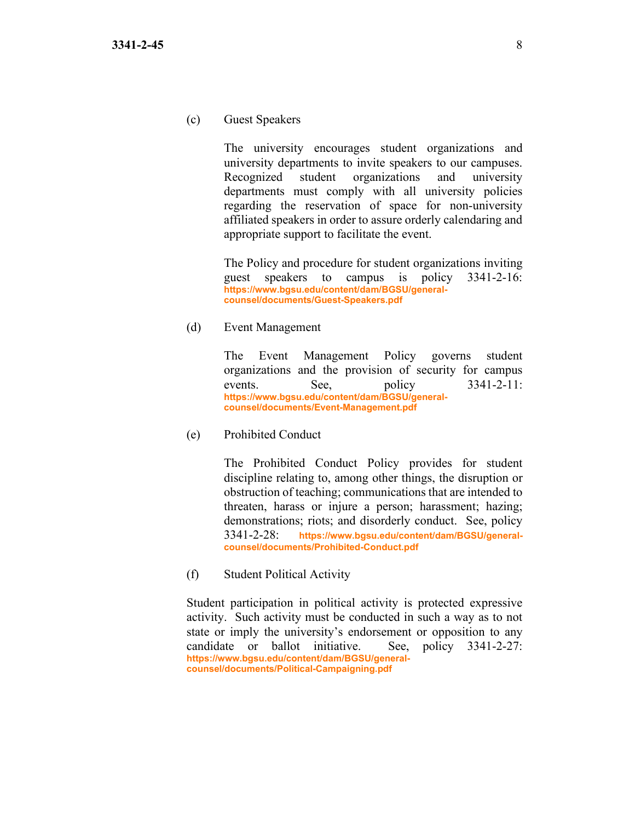(c) Guest Speakers

The university encourages student organizations and university departments to invite speakers to our campuses. Recognized student organizations and university departments must comply with all university policies regarding the reservation of space for non-university affiliated speakers in order to assure orderly calendaring and appropriate support to facilitate the event.

The Policy and procedure for student organizations inviting guest speakers to campus is policy 3341-2-16: **[https://www.bgsu.edu/content/dam/BGSU/general](https://www.bgsu.edu/content/dam/BGSU/general-counsel/documents/Guest-Speakers.pdf)[counsel/documents/Guest-Speakers.pdf](https://www.bgsu.edu/content/dam/BGSU/general-counsel/documents/Guest-Speakers.pdf)**

## (d) Event Management

The Event Management Policy governs student organizations and the provision of security for campus events. See, policy 3341-2-11: **[https://www.bgsu.edu/content/dam/BGSU/general](https://www.bgsu.edu/content/dam/BGSU/general-counsel/documents/Event-Management.pdf)[counsel/documents/Event-Management.pdf](https://www.bgsu.edu/content/dam/BGSU/general-counsel/documents/Event-Management.pdf)**

(e) Prohibited Conduct

The Prohibited Conduct Policy provides for student discipline relating to, among other things, the disruption or obstruction of teaching; communications that are intended to threaten, harass or injure a person; harassment; hazing; demonstrations; riots; and disorderly conduct. See, policy 3341-2-28: **[https://www.bgsu.edu/content/dam/BGSU/general](https://www.bgsu.edu/content/dam/BGSU/general-counsel/documents/Prohibited-Conduct.pdf)[counsel/documents/Prohibited-Conduct.pdf](https://www.bgsu.edu/content/dam/BGSU/general-counsel/documents/Prohibited-Conduct.pdf)**

(f) Student Political Activity

Student participation in political activity is protected expressive activity. Such activity must be conducted in such a way as to not state or imply the university's endorsement or opposition to any candidate or ballot initiative. See, policy 3341-2-27: **[https://www.bgsu.edu/content/dam/BGSU/general](https://www.bgsu.edu/content/dam/BGSU/general-counsel/documents/Political-Campaigning.pdf)[counsel/documents/Political-Campaigning.pdf](https://www.bgsu.edu/content/dam/BGSU/general-counsel/documents/Political-Campaigning.pdf)**